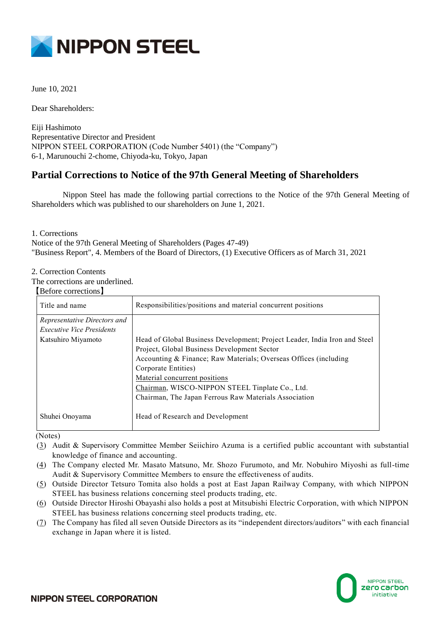

June 10, 2021

Dear Shareholders:

Eiji Hashimoto Representative Director and President NIPPON STEEL CORPORATION (Code Number 5401) (the "Company") 6-1, Marunouchi 2-chome, Chiyoda-ku, Tokyo, Japan

# **Partial Corrections to Notice of the 97th General Meeting of Shareholders**

Nippon Steel has made the following partial corrections to the Notice of the 97th General Meeting of Shareholders which was published to our shareholders on June 1, 2021.

1. Corrections

Notice of the 97th General Meeting of Shareholders (Pages 47-49) "Business Report", 4. Members of the Board of Directors, (1) Executive Officers as of March 31, 2021

## 2. Correction Contents

The corrections are underlined.

#### 【Before corrections】

| Title and name                   | Responsibilities/positions and material concurrent positions              |
|----------------------------------|---------------------------------------------------------------------------|
| Representative Directors and     |                                                                           |
| <b>Executive Vice Presidents</b> |                                                                           |
| Katsuhiro Miyamoto               | Head of Global Business Development; Project Leader, India Iron and Steel |
|                                  | Project, Global Business Development Sector                               |
|                                  | Accounting & Finance; Raw Materials; Overseas Offices (including          |
|                                  | Corporate Entities)                                                       |
|                                  | Material concurrent positions                                             |
|                                  | Chairman, WISCO-NIPPON STEEL Tinplate Co., Ltd.                           |
|                                  | Chairman, The Japan Ferrous Raw Materials Association                     |
|                                  |                                                                           |
| Shuhei Onoyama                   | Head of Research and Development                                          |
|                                  |                                                                           |

(Notes)

- (3) Audit & Supervisory Committee Member Seiichiro Azuma is a certified public accountant with substantial knowledge of finance and accounting.
- (4) The Company elected Mr. Masato Matsuno, Mr. Shozo Furumoto, and Mr. Nobuhiro Miyoshi as full-time Audit & Supervisory Committee Members to ensure the effectiveness of audits.
- (5) Outside Director Tetsuro Tomita also holds a post at East Japan Railway Company, with which NIPPON STEEL has business relations concerning steel products trading, etc.
- (6) Outside Director Hiroshi Obayashi also holds a post at Mitsubishi Electric Corporation, with which NIPPON STEEL has business relations concerning steel products trading, etc.
- (7) The Company has filed all seven Outside Directors as its "independent directors/auditors" with each financial exchange in Japan where it is listed.